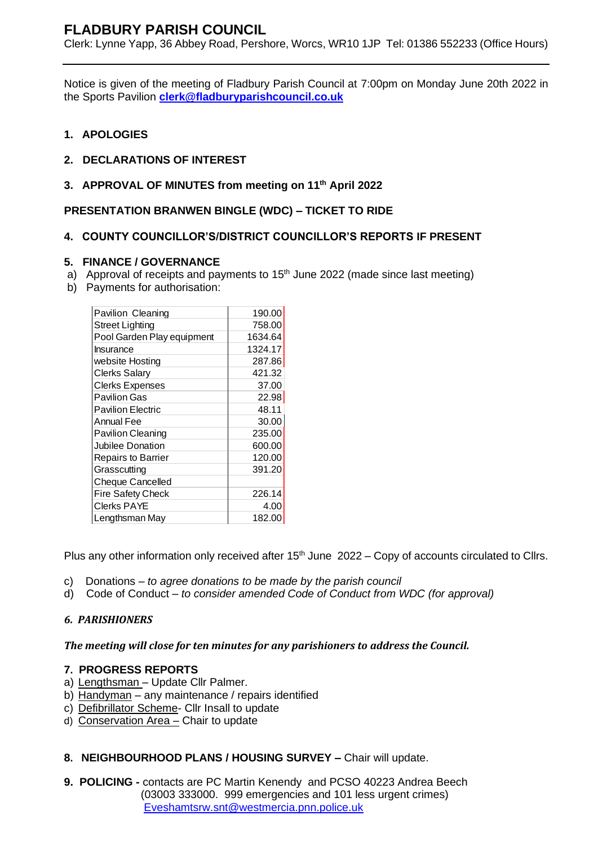# **FLADBURY PARISH COUNCIL**

Clerk: Lynne Yapp, 36 Abbey Road, Pershore, Worcs, WR10 1JP Tel: 01386 552233 (Office Hours)

Notice is given of the meeting of Fladbury Parish Council at 7:00pm on Monday June 20th 2022 in the Sports Pavilion **[clerk@fladburyparishcouncil.co.uk](mailto:clerk@fladburyparishcouncil.co.uk)**

# **1. APOLOGIES**

- **2. DECLARATIONS OF INTEREST**
- **3. APPROVAL OF MINUTES from meeting on 11th April 2022**

**PRESENTATION BRANWEN BINGLE (WDC) – TICKET TO RIDE**

# **4. COUNTY COUNCILLOR'S/DISTRICT COUNCILLOR'S REPORTS IF PRESENT**

# **5. FINANCE / GOVERNANCE**

- a) Approval of receipts and payments to  $15<sup>th</sup>$  June 2022 (made since last meeting)
- b) Payments for authorisation:

| Pavilion Cleaning          | 190.00  |
|----------------------------|---------|
| <b>Street Lighting</b>     | 758.00  |
| Pool Garden Play equipment | 1634.64 |
| Insurance                  | 1324.17 |
| website Hosting            | 287.86  |
| <b>Clerks Salary</b>       | 421.32  |
| <b>Clerks Expenses</b>     | 37.00   |
| Pavilion Gas               | 22.98   |
| <b>Pavilion Electric</b>   | 48.11   |
| Annual Fee                 | 30.00   |
| <b>Pavilion Cleaning</b>   | 235.00  |
| Jubilee Donation           | 600.00  |
| <b>Repairs to Barrier</b>  | 120.00  |
| Grasscutting               | 391.20  |
| <b>Cheque Cancelled</b>    |         |
| <b>Fire Safety Check</b>   | 226.14  |
| Clerks PAYE                | 4.00    |
| Lengthsman May             | 182.00  |

Plus any other information only received after  $15<sup>th</sup>$  June  $2022 - Copy$  of accounts circulated to Cllrs.

- c) Donations *to agree donations to be made by the parish council*
- d) Code of Conduct *to consider amended Code of Conduct from WDC (for approval)*

# *6. PARISHIONERS*

#### *The meeting will close for ten minutes for any parishioners to address the Council.*

#### **7. PROGRESS REPORTS**

- a) Lengthsman Update Cllr Palmer.
- b) Handyman any maintenance / repairs identified
- c) Defibrillator Scheme- Cllr Insall to update
- d) Conservation Area Chair to update

# **8. NEIGHBOURHOOD PLANS / HOUSING SURVEY –** Chair will update.

**9. POLICING -** contacts are PC Martin Kenendy and PCSO 40223 Andrea Beech (03003 333000. 999 emergencies and 101 less urgent crimes) [Eveshamtsrw.snt@westmercia.pnn.police.uk](mailto:Eveshamtsrw.snt@westmercia.pnn.police.uk)